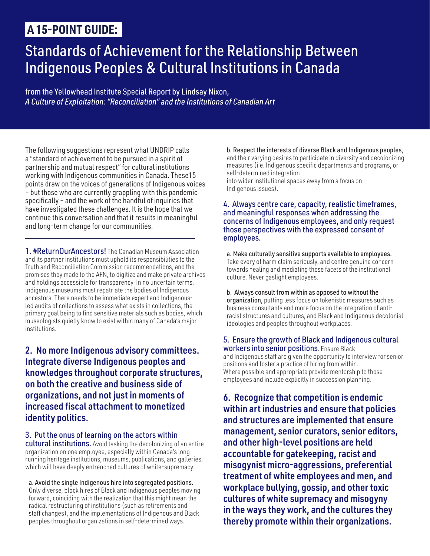## **A 15-POINT GUIDE:**

# Standards of Achievement for the Relationship Between Indigenous Peoples & Cultural Institutions in Canada

from the Yellowhead Institute Special Report by Lindsay Nixon, *[A Culture of Exploitation: "Reconciliation" and the Institutions of Canadian Art](https://yellowheadinstitute.org/a-culture-of-exploitation-reconciliation-and-the-institutions-of-canadian-art/)*

The following suggestions represent what UNDRIP calls a "standard of achievement to be pursued in a spirit of partnership and mutual respect" for cultural institutions working with Indigenous communities in Canada. These15 points draw on the voices of generations of Indigenous voices – but those who are currently grappling with this pandemic specifically – and the work of the handful of inquiries that have investigated these challenges. It is the hope that we continue this conversation and that it results in meaningful and long-term change for our communities.

1. **#ReturnOurAncestors!** The Canadian Museum Association and its partner institutions must uphold its responsibilities to the Truth and Reconciliation Commission recommendations, and the promises they made to the AFN, to digitize and make private archives and holdings accessible for transparency. In no uncertain terms, Indigenous museums must repatriate the bodies of Indigenous ancestors. There needs to be immediate expert and Indigenousled audits of collections to assess what exists in collections; the primary goal being to find sensitive materials such as bodies, which museologists quietly know to exist within many of Canada's major institutions.

## 2. No more Indigenous advisory committees. Integrate diverse Indigenous peoples and knowledges throughout corporate structures, on both the creative and business side of organizations, and not just in moments of increased fiscal attachment to monetized identity politics.

3. Put the onus of learning on the actors within cultural institutions. Avoid tasking the decolonizing of an entire organization on one employee, especially within Canada's long running heritage institutions, museums, publications, and galleries, which will have deeply entrenched cultures of white-supremacy.

a. Avoid the single Indigenous hire into segregated positions. Only diverse, block hires of Black and Indigenous peoples moving forward, coinciding with the realization that this might mean the radical restructuring of institutions (such as retirements and staff changes), and the implementations of Indigenous and Black peoples throughout organizations in self-determined ways.

b. Respect the interests of diverse Black and Indigenous peoples, and their varying desires to participate in diversity and decolonizing measures (i.e. Indigenous specific departments and programs, or self-determined integration into wider institutional spaces away from a focus on Indigenous issues).

#### 4. Always centre care, capacity, realistic timeframes, and meaningful responses when addressing the concerns of Indigenous employees, and only request those perspectives with the expressed consent of employees.

a. Make culturally sensitive supports available to employees. Take every of harm claim seriously, and centre genuine concern towards healing and mediating those facets of the institutional culture. Never gaslight employees.

b. Always consult from within as opposed to without the organization, putting less focus on tokenistic measures such as business consultants and more focus on the integration of antiracist structures and cultures, and Black and Indigenous decolonial ideologies and peoples throughout workplaces.

5. Ensure the growth of Black and Indigenous cultural workers into senior positions. Ensure Black and Indigenous staff are given the opportunity to interview for senior positions and foster a practice of hiring from within. Where possible and appropriate provide mentorship to those employees and include explicitly in succession planning.

6. Recognize that competition is endemic within art industries and ensure that policies and structures are implemented that ensure management, senior curators, senior editors, and other high-level positions are held accountable for gatekeeping, racist and misogynist micro-aggressions, preferential treatment of white employees and men, and workplace bullying, gossip, and other toxic cultures of white supremacy and misogyny in the ways they work, and the cultures they thereby promote within their organizations.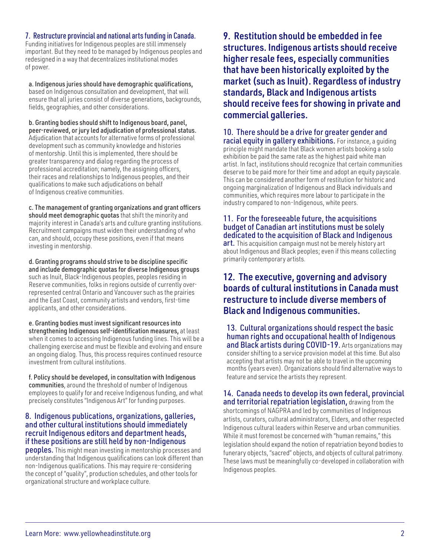#### 7. Restructure provincial and national arts funding in Canada.

Funding initiatives for Indigenous peoples are still immensely important. But they need to be managed by Indigenous peoples and redesigned in a way that decentralizes institutional modes of power.

a. Indigenous juries should have demographic qualifications, based on Indigenous consultation and development, that will ensure that all juries consist of diverse generations, backgrounds, fields, geographies, and other considerations.

b. Granting bodies should shift to Indigenous board, panel, peer-reviewed, or jury led adjudication of professional status. Adjudication that accounts for alternative forms of professional development such as community knowledge and histories of mentorship. Until this is implemented, there should be greater transparency and dialog regarding the process of professional accreditation; namely, the assigning officers, their races and relationships to Indigenous peoples, and their qualifications to make such adjudications on behalf of Indigenous creative communities.

c. The management of granting organizations and grant officers should meet demographic quotas that shift the minority and majority interest in Canada's arts and culture granting institutions. Recruitment campaigns must widen their understanding of who can, and should, occupy these positions, even if that means investing in mentorship.

d. Granting programs should strive to be discipline specific and include demographic quotas for diverse Indigenous groups such as Inuit, Black-Indigenous peoples, peoples residing in Reserve communities, folks in regions outside of currently overrepresented central Ontario and Vancouver such as the prairies and the East Coast, community artists and vendors, first-time applicants, and other considerations.

e. Granting bodies must invest significant resources into strengthening Indigenous self-identification measures, at least when it comes to accessing Indigenous funding lines. This will be a challenging exercise and must be flexible and evolving and ensure an ongoing dialog. Thus, this process requires continued resource investment from cultural institutions.

f. Policy should be developed, in consultation with Indigenous communities, around the threshold of number of Indigenous employees to qualify for and receive Indigenous funding, and what precisely constitutes "Indigenous Art" for funding purposes.

#### 8. Indigenous publications, organizations, galleries, and other cultural institutions should immediately recruit Indigenous editors and department heads, if these positions are still held by non-Indigenous

**peoples.** This might mean investing in mentorship processes and understanding that Indigenous qualifications can look different than non-Indigenous qualifications. This may require re-considering the concept of "quality", production schedules, and other tools for organizational structure and workplace culture.

9. Restitution should be embedded in fee structures. Indigenous artists should receive higher resale fees, especially communities that have been historically exploited by the market (such as Inuit). Regardless of industry standards, Black and Indigenous artists should receive fees for showing in private and commercial galleries.

10. There should be a drive for greater gender and **racial equity in gallery exhibitions.** For instance, a quiding principle might mandate that Black women artists booking a solo exhibition be paid the same rate as the highest paid white man artist. In fact, institutions should recognize that certain communities deserve to be paid more for their time and adopt an equity payscale. This can be considered another form of restitution for historic and ongoing marginalization of Indigenous and Black individuals and communities, which requires more labour to participate in the industry compared to non-Indigenous, white peers.

11. For the foreseeable future, the acquisitions budget of Canadian art institutions must be solely dedicated to the acquisition of Black and Indigenous art. This acquisition campaign must not be merely history art about Indigenous and Black peoples; even if this means collecting primarily contemporary artists.

### 12. The executive, governing and advisory boards of cultural institutions in Canada must restructure to include diverse members of Black and Indigenous communities.

13. Cultural organizations should respect the basic human rights and occupational health of Indigenous and Black artists during COVID-19. Arts organizations may consider shifting to a service provision model at this time. But also accepting that artists may not be able to travel in the upcoming months (years even). Organizations should find alternative ways to feature and service the artists they represent.

#### 14. Canada needs to develop its own federal, provincial and territorial repatriation legislation, drawing from the

shortcomings of NAGPRA and led by communities of Indigenous artists, curators, cultural administrators, Elders, and other respected Indigenous cultural leaders within Reserve and urban communities. While it must foremost be concerned with "human remains," this legislation should expand the notion of repatriation beyond bodies to funerary objects, "sacred" objects, and objects of cultural patrimony. These laws must be meaningfully co-developed in collaboration with Indigenous peoples.